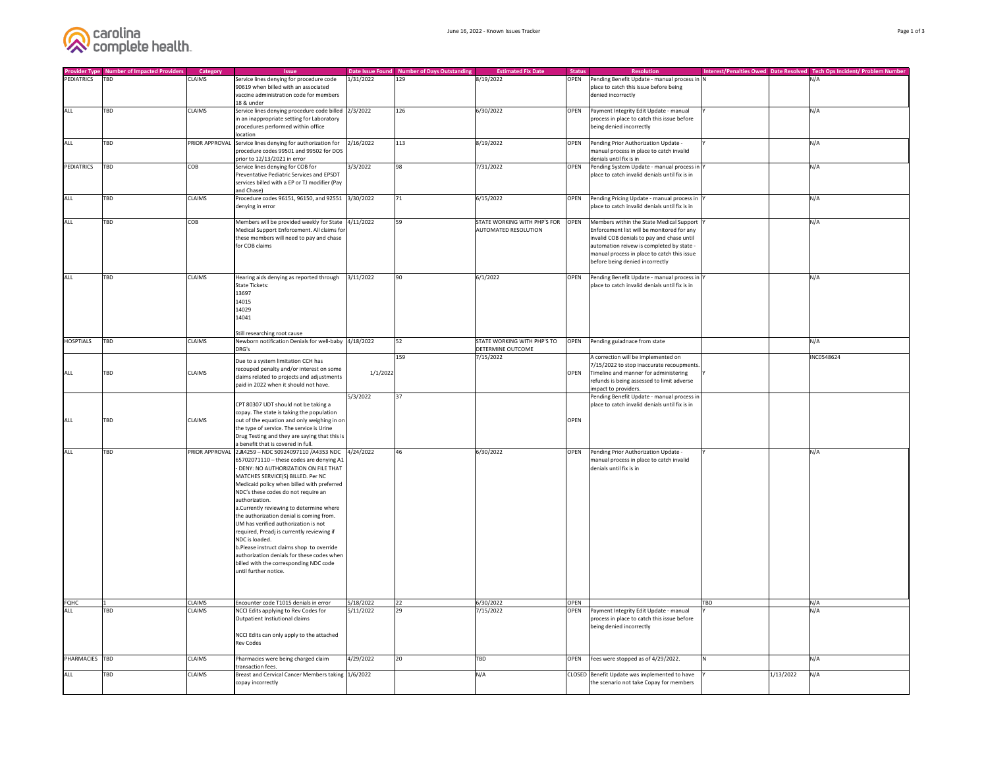

| <b>Provider Type</b><br>PEDIATRICS | <b>Number of Impacted Providers</b><br><b>TBD</b> | Category<br><b>CLAIMS</b> | <b>Issue</b>                                                   |           | Date Issue Found Number of Days Outstanding<br>129 | <b>Estimated Fix Date</b>    | <b>Status</b><br><b>OPEN</b> | <b>Resolution</b>                                                  |            |           | Interest/Penalties Owed Date Resolved Tech Ops Incident/ Problem Number<br>N/A |
|------------------------------------|---------------------------------------------------|---------------------------|----------------------------------------------------------------|-----------|----------------------------------------------------|------------------------------|------------------------------|--------------------------------------------------------------------|------------|-----------|--------------------------------------------------------------------------------|
|                                    |                                                   |                           | Service lines denying for procedure code                       | 1/31/2022 |                                                    | 8/19/2022                    |                              | Pending Benefit Update - manual process in N                       |            |           |                                                                                |
|                                    |                                                   |                           | 90619 when billed with an associated                           |           |                                                    |                              |                              | place to catch this issue before being                             |            |           |                                                                                |
|                                    |                                                   |                           | vaccine administration code for members<br>18 & under          |           |                                                    |                              |                              | denied incorrectly                                                 |            |           |                                                                                |
| ALL                                | <b>TBD</b>                                        | <b>CLAIMS</b>             | Service lines denying procedure code billed                    | 2/3/2022  | 126                                                | 6/30/2022                    | <b>OPEN</b>                  | Payment Integrity Edit Update - manual                             |            |           | N/A                                                                            |
|                                    |                                                   |                           | in an inappropriate setting for Laboratory                     |           |                                                    |                              |                              | process in place to catch this issue before                        |            |           |                                                                                |
|                                    |                                                   |                           | procedures performed within office                             |           |                                                    |                              |                              | being denied incorrectly                                           |            |           |                                                                                |
|                                    |                                                   |                           | location                                                       |           |                                                    |                              |                              |                                                                    |            |           |                                                                                |
| ALL                                | TBD                                               |                           | PRIOR APPROVAL Service lines denying for authorization for     | 2/16/2022 | 113                                                | 8/19/2022                    | <b>OPEN</b>                  | Pending Prior Authorization Update -                               |            |           | N/A                                                                            |
|                                    |                                                   |                           | procedure codes 99501 and 99502 for DOS                        |           |                                                    |                              |                              | manual process in place to catch invalid                           |            |           |                                                                                |
|                                    |                                                   |                           | prior to 12/13/2021 in error                                   |           |                                                    |                              |                              | denials until fix is in                                            |            |           |                                                                                |
| PEDIATRICS                         | <b>TBD</b>                                        | <b>COB</b>                | Service lines denying for COB for                              | 3/3/2022  | 98                                                 | 7/31/2022                    | <b>OPEN</b>                  | Pending System Update - manual process in Y                        |            |           | N/A                                                                            |
|                                    |                                                   |                           | Preventative Pediatric Services and EPSDT                      |           |                                                    |                              |                              | place to catch invalid denials until fix is in                     |            |           |                                                                                |
|                                    |                                                   |                           | services billed with a EP or TJ modifier (Pay                  |           |                                                    |                              |                              |                                                                    |            |           |                                                                                |
|                                    |                                                   |                           | and Chase)                                                     |           |                                                    |                              |                              |                                                                    |            |           |                                                                                |
| ALL                                | TBD                                               | <b>CLAIMS</b>             | Procedure codes 96151, 96150, and 92551 3/30/2022              |           | 71                                                 | 6/15/2022                    | <b>OPEN</b>                  | Pending Pricing Update - manual process in Y                       |            |           | N/A                                                                            |
|                                    |                                                   |                           | denying in error                                               |           |                                                    |                              |                              | place to catch invalid denials until fix is in                     |            |           |                                                                                |
|                                    |                                                   |                           |                                                                |           |                                                    |                              |                              |                                                                    |            |           |                                                                                |
| ALL                                | TBD                                               | COB                       | Members will be provided weekly for State 4/11/2022            |           | 59                                                 | STATE WORKING WITH PHP'S FOR | OPEN                         | Members within the State Medical Support                           |            |           | N/A                                                                            |
|                                    |                                                   |                           | Medical Support Enforcement. All claims for                    |           |                                                    | AUTOMATED RESOLUTION         |                              | Enforcement list will be monitored for any                         |            |           |                                                                                |
|                                    |                                                   |                           | these members will need to pay and chase                       |           |                                                    |                              |                              | invalid COB denials to pay and chase until                         |            |           |                                                                                |
|                                    |                                                   |                           | for COB claims                                                 |           |                                                    |                              |                              | automation reivew is completed by state -                          |            |           |                                                                                |
|                                    |                                                   |                           |                                                                |           |                                                    |                              |                              | manual process in place to catch this issue                        |            |           |                                                                                |
|                                    |                                                   |                           |                                                                |           |                                                    |                              |                              | before being denied incorrectly                                    |            |           |                                                                                |
|                                    |                                                   |                           |                                                                |           |                                                    |                              |                              |                                                                    |            |           |                                                                                |
| ALL                                | TBD                                               | <b>CLAIMS</b>             | Hearing aids denying as reported through                       | 3/11/2022 | 90                                                 | 6/1/2022                     | <b>OPEN</b>                  | Pending Benefit Update - manual process in Y                       |            |           | N/A                                                                            |
|                                    |                                                   |                           | <b>State Tickets:</b>                                          |           |                                                    |                              |                              | place to catch invalid denials until fix is in                     |            |           |                                                                                |
|                                    |                                                   |                           | 13697                                                          |           |                                                    |                              |                              |                                                                    |            |           |                                                                                |
|                                    |                                                   |                           | 14015                                                          |           |                                                    |                              |                              |                                                                    |            |           |                                                                                |
|                                    |                                                   |                           | 14029                                                          |           |                                                    |                              |                              |                                                                    |            |           |                                                                                |
|                                    |                                                   |                           | 14041                                                          |           |                                                    |                              |                              |                                                                    |            |           |                                                                                |
|                                    |                                                   |                           |                                                                |           |                                                    |                              |                              |                                                                    |            |           |                                                                                |
|                                    |                                                   |                           | Still researching root cause                                   |           |                                                    |                              |                              |                                                                    |            |           |                                                                                |
| HOSPTIALS                          | <b>TBD</b>                                        | <b>CLAIMS</b>             | Newborn notification Denials for well-baby 4/18/2022           |           | 52                                                 | STATE WORKING WITH PHP'S TO  | <b>OPEN</b>                  | Pending guiadnace from state                                       |            |           | N/A                                                                            |
|                                    |                                                   |                           | DRG's                                                          |           |                                                    | DETERMINE OUTCOME            |                              |                                                                    |            |           |                                                                                |
|                                    |                                                   |                           | Due to a system limitation CCH has                             |           | 159                                                | 7/15/2022                    |                              | A correction will be implemented on                                |            |           | INC0548624                                                                     |
|                                    |                                                   |                           | recouped penalty and/or interest on some                       |           |                                                    |                              |                              | 7/15/2022 to stop inaccurate recoupments.                          |            |           |                                                                                |
| <b>ALL</b>                         | <b>TBD</b>                                        | <b>CLAIMS</b>             | claims related to projects and adjustments                     | 1/1/2022  |                                                    |                              | <b>OPEN</b>                  | Timeline and manner for administering                              |            |           |                                                                                |
|                                    |                                                   |                           | paid in 2022 when it should not have.                          |           |                                                    |                              |                              | refunds is being assessed to limit adverse                         |            |           |                                                                                |
|                                    |                                                   |                           |                                                                | 5/3/2022  | 37                                                 |                              |                              | impact to providers.<br>Pending Benefit Update - manual process in |            |           |                                                                                |
|                                    |                                                   |                           | CPT 80307 UDT should not be taking a                           |           |                                                    |                              |                              | place to catch invalid denials until fix is in                     |            |           |                                                                                |
|                                    |                                                   |                           | copay. The state is taking the population                      |           |                                                    |                              |                              |                                                                    |            |           |                                                                                |
| ALL                                | TBD                                               | <b>CLAIMS</b>             | out of the equation and only weighing in on                    |           |                                                    |                              | <b>OPEN</b>                  |                                                                    |            |           |                                                                                |
|                                    |                                                   |                           | the type of service. The service is Urine                      |           |                                                    |                              |                              |                                                                    |            |           |                                                                                |
|                                    |                                                   |                           | Drug Testing and they are saying that this is                  |           |                                                    |                              |                              |                                                                    |            |           |                                                                                |
|                                    |                                                   |                           | a benefit that is covered in full.                             |           |                                                    |                              |                              |                                                                    |            |           |                                                                                |
| <b>ALL</b>                         | TBD                                               |                           | PRIOR APPROVAL 2.84259 - NDC 50924097110 / A4353 NDC 4/24/2022 |           | 46                                                 | 6/30/2022                    | <b>OPEN</b>                  | Pending Prior Authorization Update -                               |            |           | N/A                                                                            |
|                                    |                                                   |                           | $65702071110$ – these codes are denying A1                     |           |                                                    |                              |                              | manual process in place to catch invalid                           |            |           |                                                                                |
|                                    |                                                   |                           | - DENY: NO AUTHORIZATION ON FILE THAT                          |           |                                                    |                              |                              | denials until fix is in                                            |            |           |                                                                                |
|                                    |                                                   |                           | MATCHES SERVICE(S) BILLED. Per NC                              |           |                                                    |                              |                              |                                                                    |            |           |                                                                                |
|                                    |                                                   |                           | Medicaid policy when billed with preferred                     |           |                                                    |                              |                              |                                                                    |            |           |                                                                                |
|                                    |                                                   |                           | NDC's these codes do not require an                            |           |                                                    |                              |                              |                                                                    |            |           |                                                                                |
|                                    |                                                   |                           | authorization.                                                 |           |                                                    |                              |                              |                                                                    |            |           |                                                                                |
|                                    |                                                   |                           | a.Currently reviewing to determine where                       |           |                                                    |                              |                              |                                                                    |            |           |                                                                                |
|                                    |                                                   |                           | the authorization denial is coming from.                       |           |                                                    |                              |                              |                                                                    |            |           |                                                                                |
|                                    |                                                   |                           | UM has verified authorization is not                           |           |                                                    |                              |                              |                                                                    |            |           |                                                                                |
|                                    |                                                   |                           | required, Preadj is currently reviewing if                     |           |                                                    |                              |                              |                                                                    |            |           |                                                                                |
|                                    |                                                   |                           | NDC is loaded.                                                 |           |                                                    |                              |                              |                                                                    |            |           |                                                                                |
|                                    |                                                   |                           | b.Please instruct claims shop to override                      |           |                                                    |                              |                              |                                                                    |            |           |                                                                                |
|                                    |                                                   |                           | authorization denials for these codes when                     |           |                                                    |                              |                              |                                                                    |            |           |                                                                                |
|                                    |                                                   |                           | billed with the corresponding NDC code                         |           |                                                    |                              |                              |                                                                    |            |           |                                                                                |
|                                    |                                                   |                           | until further notice.                                          |           |                                                    |                              |                              |                                                                    |            |           |                                                                                |
|                                    |                                                   |                           |                                                                |           |                                                    |                              |                              |                                                                    |            |           |                                                                                |
|                                    |                                                   |                           |                                                                |           |                                                    |                              |                              |                                                                    |            |           |                                                                                |
|                                    |                                                   |                           |                                                                |           |                                                    |                              |                              |                                                                    |            |           |                                                                                |
| FQHC                               |                                                   | <b>CLAIMS</b>             | Encounter code T1015 denials in error                          | 5/18/2022 | 22                                                 | 6/30/2022                    | OPEN                         |                                                                    | <b>TBD</b> |           | N/A                                                                            |
| ALL                                | TBD                                               | <b>CLAIMS</b>             | NCCI Edits applying to Rev Codes for                           | 5/11/2022 | 29                                                 | 7/15/2022                    | OPEN                         | Payment Integrity Edit Update - manual                             |            |           | N/A                                                                            |
|                                    |                                                   |                           | Outpatient Instiutional claims                                 |           |                                                    |                              |                              | process in place to catch this issue before                        |            |           |                                                                                |
|                                    |                                                   |                           |                                                                |           |                                                    |                              |                              | being denied incorrectly                                           |            |           |                                                                                |
|                                    |                                                   |                           | NCCI Edits can only apply to the attached                      |           |                                                    |                              |                              |                                                                    |            |           |                                                                                |
|                                    |                                                   |                           | <b>Rev Codes</b>                                               |           |                                                    |                              |                              |                                                                    |            |           |                                                                                |
|                                    |                                                   |                           |                                                                |           |                                                    |                              |                              |                                                                    |            |           |                                                                                |
| PHARMACIES TBD                     |                                                   | <b>CLAIMS</b>             | Pharmacies were being charged claim                            | 4/29/2022 | 20                                                 | TBD                          | OPEN                         | Fees were stopped as of 4/29/2022.                                 |            |           | N/A                                                                            |
|                                    |                                                   |                           | transaction fees.                                              |           |                                                    |                              |                              |                                                                    |            |           |                                                                                |
| ALL                                | <b>TBD</b>                                        | <b>CLAIMS</b>             | Breast and Cervical Cancer Members taking 1/6/2022             |           |                                                    | N/A                          |                              | CLOSED Benefit Update was implemented to have                      |            | 1/13/2022 | N/A                                                                            |
|                                    |                                                   |                           | copay incorrectly                                              |           |                                                    |                              |                              | the scenario not take Copay for members                            |            |           |                                                                                |
|                                    |                                                   |                           |                                                                |           |                                                    |                              |                              |                                                                    |            |           |                                                                                |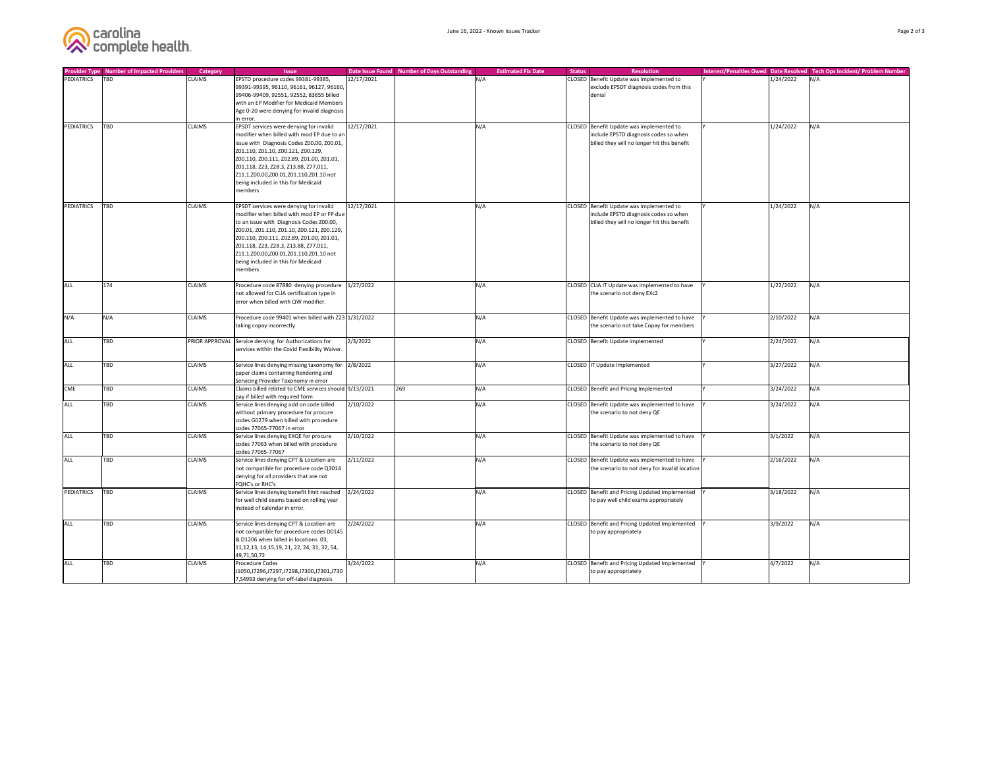

| <b>Provider Type</b> | Number of Impacted Providers | <b>Category</b> | <b>Issue</b>                                                                |            | Date Issue Found Number of Days Outstanding | <b>Estimated Fix Date</b> | <b>Resolution</b><br><b>Status</b>             | Interest/Penalties Owed Date Resolved Tech Ops Incident/ Problem Number |     |
|----------------------|------------------------------|-----------------|-----------------------------------------------------------------------------|------------|---------------------------------------------|---------------------------|------------------------------------------------|-------------------------------------------------------------------------|-----|
| PEDIATRICS           | <b>TBD</b>                   | <b>CLAIMS</b>   | EPSTD procedure codes 99381-99385,                                          | 12/17/2021 |                                             | N/A                       | CLOSED Benefit Update was implemented to       | 1/24/2022                                                               | N/A |
|                      |                              |                 | 99391-99395, 96110, 96161, 96127, 96160,                                    |            |                                             |                           | exclude EPSDT diagnosis codes from this        |                                                                         |     |
|                      |                              |                 | 99406-99409, 92551, 92552, 83655 billed                                     |            |                                             |                           | denial                                         |                                                                         |     |
|                      |                              |                 | with an EP Modifier for Medicaid Members                                    |            |                                             |                           |                                                |                                                                         |     |
|                      |                              |                 | Age 0-20 were denying for invalid diagnosis                                 |            |                                             |                           |                                                |                                                                         |     |
|                      |                              |                 | in error.                                                                   |            |                                             |                           |                                                |                                                                         |     |
| PEDIATRICS           | <b>TBD</b>                   | <b>CLAIMS</b>   | EPSDT services were denying for invalid                                     | 12/17/2021 |                                             | N/A                       | CLOSED Benefit Update was implemented to       | 1/24/2022                                                               | N/A |
|                      |                              |                 | modifier when billed with mod EP due to an                                  |            |                                             |                           | include EPSTD diagnosis codes so when          |                                                                         |     |
|                      |                              |                 | issue with Diagnosis Codes Z00.00, Z00.01,                                  |            |                                             |                           | billed they will no longer hit this benefit    |                                                                         |     |
|                      |                              |                 | Z01.110, Z01.10, Z00.121, Z00.129,                                          |            |                                             |                           |                                                |                                                                         |     |
|                      |                              |                 | Z00.110, Z00.111, Z02.89, Z01.00, Z01.01,                                   |            |                                             |                           |                                                |                                                                         |     |
|                      |                              |                 | Z01.118, Z23, Z28.3, Z13.88, Z77.011,                                       |            |                                             |                           |                                                |                                                                         |     |
|                      |                              |                 | Z11.1,Z00.00,Z00.01,Z01.110,Z01.10 not                                      |            |                                             |                           |                                                |                                                                         |     |
|                      |                              |                 | being included in this for Medicaid                                         |            |                                             |                           |                                                |                                                                         |     |
|                      |                              |                 | members                                                                     |            |                                             |                           |                                                |                                                                         |     |
| PEDIATRICS           | <b>TBD</b>                   | <b>CLAIMS</b>   | EPSDT services were denying for invalid                                     | 12/17/2021 |                                             | N/A                       | CLOSED Benefit Update was implemented to       | 1/24/2022                                                               | N/A |
|                      |                              |                 | modifier when billed with mod EP or FP due                                  |            |                                             |                           | include EPSTD diagnosis codes so when          |                                                                         |     |
|                      |                              |                 | to an issue with Diagnosis Codes Z00.00,                                    |            |                                             |                           | billed they will no longer hit this benefit    |                                                                         |     |
|                      |                              |                 | Z00.01, Z01.110, Z01.10, Z00.121, Z00.129,                                  |            |                                             |                           |                                                |                                                                         |     |
|                      |                              |                 | Z00.110, Z00.111, Z02.89, Z01.00, Z01.01,                                   |            |                                             |                           |                                                |                                                                         |     |
|                      |                              |                 | Z01.118, Z23, Z28.3, Z13.88, Z77.011,                                       |            |                                             |                           |                                                |                                                                         |     |
|                      |                              |                 | Z11.1,Z00.00,Z00.01,Z01.110,Z01.10 not                                      |            |                                             |                           |                                                |                                                                         |     |
|                      |                              |                 | being included in this for Medicaid                                         |            |                                             |                           |                                                |                                                                         |     |
|                      |                              |                 | members                                                                     |            |                                             |                           |                                                |                                                                         |     |
|                      |                              |                 |                                                                             |            |                                             |                           |                                                |                                                                         |     |
| ALL                  | 174                          | <b>CLAIMS</b>   | Procedure code 87880 denying procedure   1/27/2022                          |            |                                             | N/A                       | CLOSED CLIA IT Update was implemented to have  | 1/22/2022                                                               | N/A |
|                      |                              |                 | not allowed for CLIA certification type in                                  |            |                                             |                           | the scenario not deny EXc2                     |                                                                         |     |
|                      |                              |                 | error when billed with QW modifier.                                         |            |                                             |                           |                                                |                                                                         |     |
|                      |                              |                 |                                                                             |            |                                             |                           |                                                |                                                                         |     |
| N/A                  | N/A                          | <b>CLAIMS</b>   | Procedure code 99401 when billed with Z23 1/31/2022                         |            |                                             | N/A                       | CLOSED Benefit Update was implemented to have  | 2/10/2022                                                               | N/A |
|                      |                              |                 | taking copay incorrectly                                                    |            |                                             |                           | the scenario not take Copay for members        |                                                                         |     |
|                      |                              |                 |                                                                             |            |                                             |                           |                                                |                                                                         |     |
| <b>ALL</b>           | <b>TBD</b>                   |                 | PRIOR APPROVAL Service denying for Authorizations for                       | 2/3/2022   |                                             | N/A                       | CLOSED Benefit Update implemented              | 2/24/2022                                                               | N/A |
|                      |                              |                 | services within the Covid Flexibility Waiver.                               |            |                                             |                           |                                                |                                                                         |     |
|                      |                              |                 |                                                                             |            |                                             |                           |                                                |                                                                         |     |
| <b>ALL</b>           | TBD                          | <b>CLAIMS</b>   | Service lines denying missing taxonomy for 2/8/2022                         |            |                                             | N/A                       | CLOSED  IT Update Implemented                  | 3/27/2022                                                               | N/A |
|                      |                              |                 | paper claims containing Rendering and                                       |            |                                             |                           |                                                |                                                                         |     |
|                      |                              |                 | Servicing Provider Taxonomy in error                                        |            |                                             |                           |                                                |                                                                         |     |
| <b>CME</b>           | TBD                          | <b>CLAIMS</b>   | Claims billed related to CME services should 9/13/2021                      |            | 269                                         | N/A                       | CLOSED Benefit and Pricing Implemented         | 3/24/2022                                                               | N/A |
|                      |                              |                 | pay if billed with required form                                            |            |                                             |                           |                                                |                                                                         |     |
| <b>ALL</b>           | <b>TBD</b>                   | <b>CLAIMS</b>   | Service lines denying add on code billed                                    | 2/10/2022  |                                             | N/A                       | CLOSED Benefit Update was implemented to have  | 3/24/2022                                                               | N/A |
|                      |                              |                 | without primary procedure for procure                                       |            |                                             |                           | the scenario to not deny QE                    |                                                                         |     |
|                      |                              |                 | codes G0279 when billed with procedure                                      |            |                                             |                           |                                                |                                                                         |     |
|                      |                              |                 | codes 77065-77067 in error                                                  |            |                                             |                           |                                                |                                                                         |     |
| ALL                  | <b>TBD</b>                   | <b>CLAIMS</b>   | Service lines denying EXQE for procure                                      | 2/10/2022  |                                             | N/A                       | CLOSED Benefit Update was implemented to have  | 3/1/2022                                                                | N/A |
|                      |                              |                 | codes 77063 when billed with procedure                                      |            |                                             |                           | the scenario to not deny QE                    |                                                                         |     |
|                      |                              |                 | codes 77065-77067                                                           |            |                                             |                           |                                                |                                                                         |     |
| <b>ALL</b>           | <b>TBD</b>                   | <b>CLAIMS</b>   | Service lines denying CPT & Location are                                    | 2/11/2022  |                                             | N/A                       | CLOSED Benefit Update was implemented to have  | 2/16/2022                                                               | N/A |
|                      |                              |                 | not compatible for procedure code Q3014                                     |            |                                             |                           | the scenario to not deny for invalid location  |                                                                         |     |
|                      |                              |                 | denying for all providers that are not<br><b>FQHC's or RHC's</b>            |            |                                             |                           |                                                |                                                                         |     |
|                      |                              |                 |                                                                             |            |                                             |                           |                                                |                                                                         |     |
| PEDIATRICS           | <b>TBD</b>                   | <b>CLAIMS</b>   | Service lines denying benefit limit reached                                 | 2/24/2022  |                                             | N/A                       | CLOSED Benefit and Pricing Updated Implemented | 3/18/2022                                                               | N/A |
|                      |                              |                 | for well child exams based on rolling year<br>instead of calendar in error. |            |                                             |                           | to pay well child exams appropriately          |                                                                         |     |
|                      |                              |                 |                                                                             |            |                                             |                           |                                                |                                                                         |     |
| <b>ALL</b>           | <b>TBD</b>                   | <b>CLAIMS</b>   | Service lines denying CPT & Location are                                    | 2/24/2022  |                                             | N/A                       | CLOSED Benefit and Pricing Updated Implemented | 3/9/2022                                                                | N/A |
|                      |                              |                 | not compatible for procedure codes D0145                                    |            |                                             |                           | to pay appropriately                           |                                                                         |     |
|                      |                              |                 | & D1206 when billed in locations 03,                                        |            |                                             |                           |                                                |                                                                         |     |
|                      |                              |                 | 11, 12, 13, 14, 15, 19, 21, 22, 24, 31, 32, 54,                             |            |                                             |                           |                                                |                                                                         |     |
|                      |                              |                 | 49,71,50,72                                                                 |            |                                             |                           |                                                |                                                                         |     |
| <b>ALL</b>           | <b>TBD</b>                   | <b>CLAIMS</b>   | <b>Procedure Codes</b>                                                      | 3/24/2022  |                                             | N/A                       | CLOSED Benefit and Pricing Updated Implemented | 4/7/2022                                                                | N/A |
|                      |                              |                 | J1050,J7296,J7297,J7298,J7300,J7301,J730                                    |            |                                             |                           | to pay appropriately                           |                                                                         |     |
|                      |                              |                 | 7, S4993 denying for off-label diagnosis                                    |            |                                             |                           |                                                |                                                                         |     |